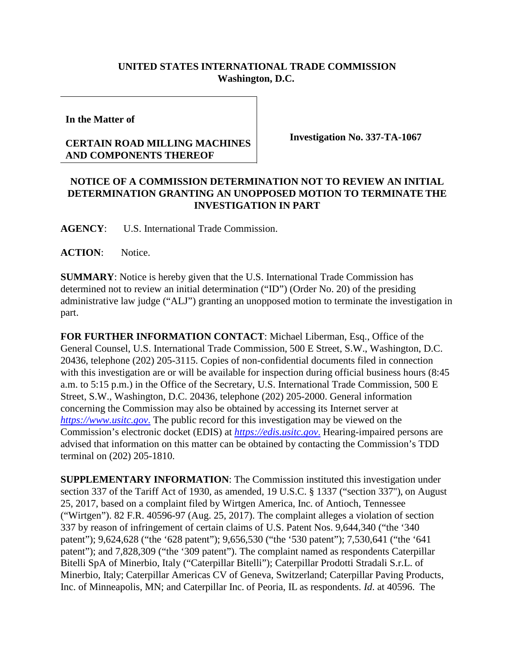## **UNITED STATES INTERNATIONAL TRADE COMMISSION Washington, D.C.**

**In the Matter of**

## **CERTAIN ROAD MILLING MACHINES AND COMPONENTS THEREOF**

**Investigation No. 337-TA-1067**

## **NOTICE OF A COMMISSION DETERMINATION NOT TO REVIEW AN INITIAL DETERMINATION GRANTING AN UNOPPOSED MOTION TO TERMINATE THE INVESTIGATION IN PART**

**AGENCY**: U.S. International Trade Commission.

**ACTION**: Notice.

**SUMMARY**: Notice is hereby given that the U.S. International Trade Commission has determined not to review an initial determination ("ID") (Order No. 20) of the presiding administrative law judge ("ALJ") granting an unopposed motion to terminate the investigation in part.

**FOR FURTHER INFORMATION CONTACT**: Michael Liberman, Esq., Office of the General Counsel, U.S. International Trade Commission, 500 E Street, S.W., Washington, D.C. 20436, telephone (202) 205-3115. Copies of non-confidential documents filed in connection with this investigation are or will be available for inspection during official business hours (8:45) a.m. to 5:15 p.m.) in the Office of the Secretary, U.S. International Trade Commission, 500 E Street, S.W., Washington, D.C. 20436, telephone (202) 205-2000. General information concerning the Commission may also be obtained by accessing its Internet server at *[https://www.usitc.gov](https://www.usitc.gov./)*. The public record for this investigation may be viewed on the Commission's electronic docket (EDIS) at *[https://edis.usitc.gov](https://edis.usitc.gov./)*. Hearing-impaired persons are advised that information on this matter can be obtained by contacting the Commission's TDD terminal on (202) 205-1810.

**SUPPLEMENTARY INFORMATION**: The Commission instituted this investigation under section 337 of the Tariff Act of 1930, as amended, 19 U.S.C. § 1337 ("section 337"), on August 25, 2017, based on a complaint filed by Wirtgen America, Inc. of Antioch, Tennessee ("Wirtgen"). 82 F.R. 40596-97 (Aug. 25, 2017). The complaint alleges a violation of section 337 by reason of infringement of certain claims of U.S. Patent Nos. 9,644,340 ("the '340 patent"); 9,624,628 ("the '628 patent"); 9,656,530 ("the '530 patent"); 7,530,641 ("the '641 patent"); and 7,828,309 ("the '309 patent"). The complaint named as respondents Caterpillar Bitelli SpA of Minerbio, Italy ("Caterpillar Bitelli"); Caterpillar Prodotti Stradali S.r.L. of Minerbio, Italy; Caterpillar Americas CV of Geneva, Switzerland; Caterpillar Paving Products, Inc. of Minneapolis, MN; and Caterpillar Inc. of Peoria, IL as respondents. *Id*. at 40596. The